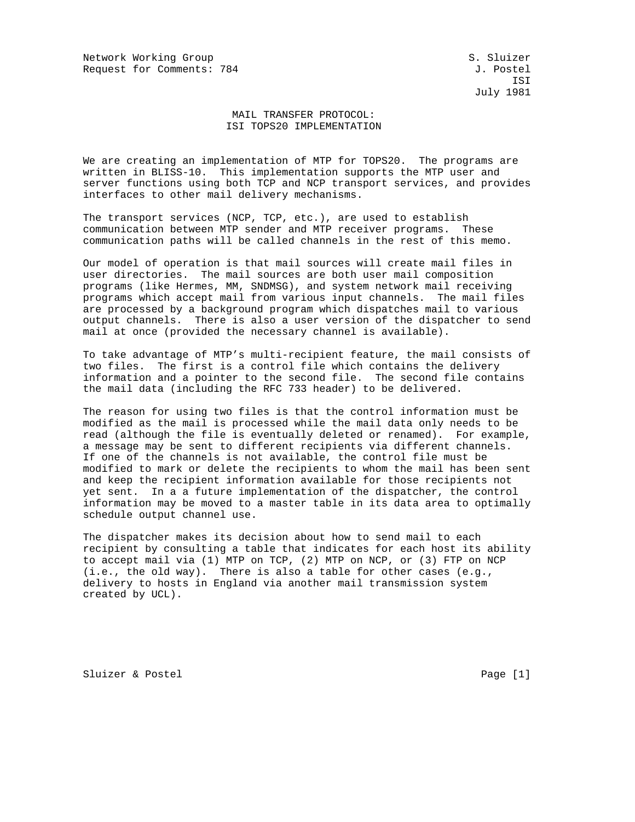Network Working Group S. Sluizer Request for Comments: 784 J. Postel

 ISI July 1981

## MAIL TRANSFER PROTOCOL: ISI TOPS20 IMPLEMENTATION

We are creating an implementation of MTP for TOPS20. The programs are written in BLISS-10. This implementation supports the MTP user and server functions using both TCP and NCP transport services, and provides interfaces to other mail delivery mechanisms.

The transport services (NCP, TCP, etc.), are used to establish communication between MTP sender and MTP receiver programs. These communication paths will be called channels in the rest of this memo.

Our model of operation is that mail sources will create mail files in user directories. The mail sources are both user mail composition programs (like Hermes, MM, SNDMSG), and system network mail receiving programs which accept mail from various input channels. The mail files are processed by a background program which dispatches mail to various output channels. There is also a user version of the dispatcher to send mail at once (provided the necessary channel is available).

To take advantage of MTP's multi-recipient feature, the mail consists of two files. The first is a control file which contains the delivery information and a pointer to the second file. The second file contains the mail data (including the RFC 733 header) to be delivered.

The reason for using two files is that the control information must be modified as the mail is processed while the mail data only needs to be read (although the file is eventually deleted or renamed). For example, a message may be sent to different recipients via different channels. If one of the channels is not available, the control file must be modified to mark or delete the recipients to whom the mail has been sent and keep the recipient information available for those recipients not yet sent. In a a future implementation of the dispatcher, the control information may be moved to a master table in its data area to optimally schedule output channel use.

The dispatcher makes its decision about how to send mail to each recipient by consulting a table that indicates for each host its ability to accept mail via (1) MTP on TCP, (2) MTP on NCP, or (3) FTP on NCP (i.e., the old way). There is also a table for other cases (e.g., delivery to hosts in England via another mail transmission system created by UCL).

Sluizer & Postel Page [1]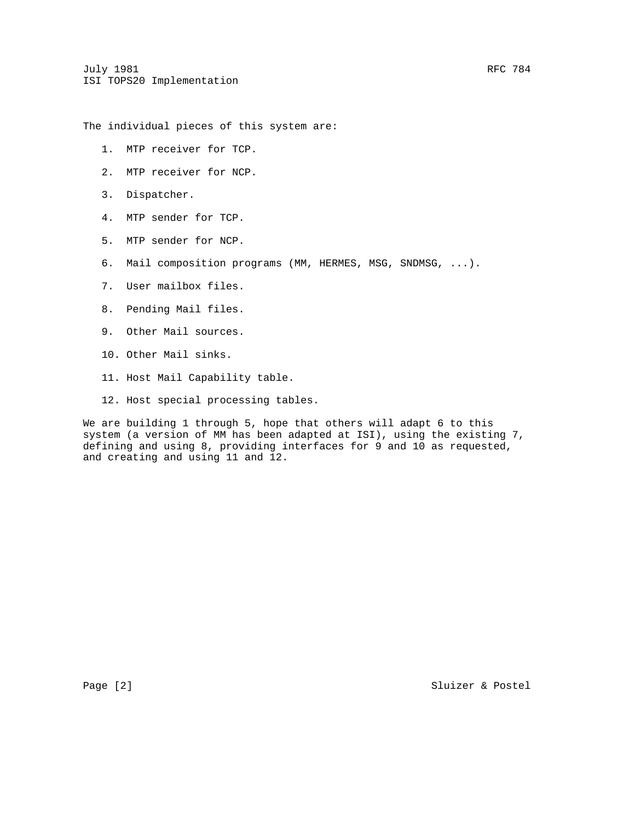The individual pieces of this system are:

- 1. MTP receiver for TCP.
- 2. MTP receiver for NCP.
- 3. Dispatcher.
- 4. MTP sender for TCP.
- 5. MTP sender for NCP.
- 6. Mail composition programs (MM, HERMES, MSG, SNDMSG, ...).
- 7. User mailbox files.
- 8. Pending Mail files.
- 9. Other Mail sources.
- 10. Other Mail sinks.
- 11. Host Mail Capability table.
- 12. Host special processing tables.

We are building 1 through 5, hope that others will adapt 6 to this system (a version of MM has been adapted at ISI), using the existing 7, defining and using 8, providing interfaces for 9 and 10 as requested, and creating and using 11 and 12.